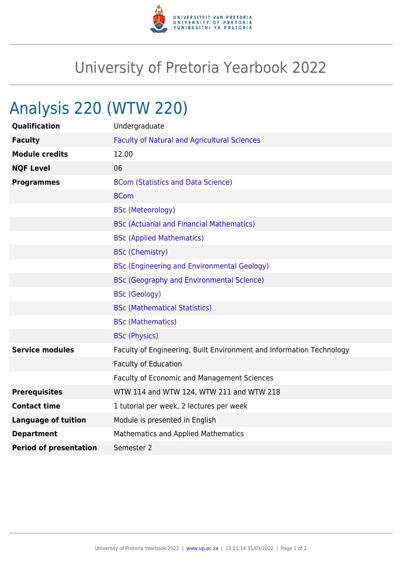

## University of Pretoria Yearbook 2022

## Analysis 220 (WTW 220)

| Qualification                 | Undergraduate                                                        |
|-------------------------------|----------------------------------------------------------------------|
| <b>Faculty</b>                | <b>Faculty of Natural and Agricultural Sciences</b>                  |
| <b>Module credits</b>         | 12.00                                                                |
| <b>NQF Level</b>              | 06                                                                   |
| <b>Programmes</b>             | <b>BCom (Statistics and Data Science)</b>                            |
|                               | <b>BCom</b>                                                          |
|                               | <b>BSc (Meteorology)</b>                                             |
|                               | <b>BSc (Actuarial and Financial Mathematics)</b>                     |
|                               | <b>BSc (Applied Mathematics)</b>                                     |
|                               | <b>BSc (Chemistry)</b>                                               |
|                               | <b>BSc (Engineering and Environmental Geology)</b>                   |
|                               | <b>BSc (Geography and Environmental Science)</b>                     |
|                               | <b>BSc (Geology)</b>                                                 |
|                               | <b>BSc (Mathematical Statistics)</b>                                 |
|                               | <b>BSc (Mathematics)</b>                                             |
|                               | <b>BSc (Physics)</b>                                                 |
| <b>Service modules</b>        | Faculty of Engineering, Built Environment and Information Technology |
|                               | <b>Faculty of Education</b>                                          |
|                               | Faculty of Economic and Management Sciences                          |
| <b>Prerequisites</b>          | WTW 114 and WTW 124, WTW 211 and WTW 218                             |
| <b>Contact time</b>           | 1 tutorial per week, 2 lectures per week                             |
| <b>Language of tuition</b>    | Module is presented in English                                       |
| <b>Department</b>             | Mathematics and Applied Mathematics                                  |
| <b>Period of presentation</b> | Semester 2                                                           |